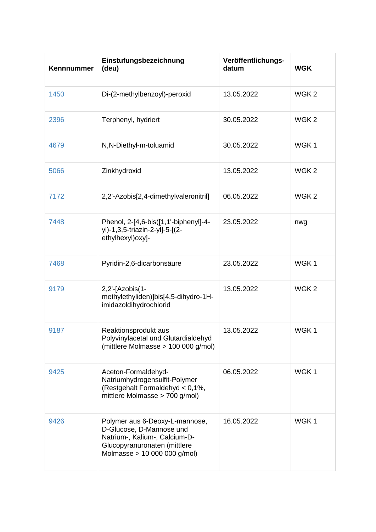| Kennnummer | Einstufungsbezeichnung<br>(deu)                                                                                                                             | Veröffentlichungs-<br>datum | <b>WGK</b>       |
|------------|-------------------------------------------------------------------------------------------------------------------------------------------------------------|-----------------------------|------------------|
| 1450       | Di-(2-methylbenzoyl)-peroxid                                                                                                                                | 13.05.2022                  | WGK <sub>2</sub> |
| 2396       | Terphenyl, hydriert                                                                                                                                         | 30.05.2022                  | WGK <sub>2</sub> |
| 4679       | N,N-Diethyl-m-toluamid                                                                                                                                      | 30.05.2022                  | WGK1             |
| 5066       | Zinkhydroxid                                                                                                                                                | 13.05.2022                  | WGK <sub>2</sub> |
| 7172       | 2,2'-Azobis[2,4-dimethylvaleronitril]                                                                                                                       | 06.05.2022                  | WGK <sub>2</sub> |
| 7448       | Phenol, 2-[4,6-bis([1,1'-biphenyl]-4-<br>yl)-1,3,5-triazin-2-yl]-5-[(2-<br>ethylhexyl) oxy]-                                                                | 23.05.2022                  | nwg              |
| 7468       | Pyridin-2,6-dicarbonsäure                                                                                                                                   | 23.05.2022                  | WGK1             |
| 9179       | 2,2'-[Azobis(1-<br>methylethyliden)]bis[4,5-dihydro-1H-<br>imidazoldihydrochlorid                                                                           | 13.05.2022                  | WGK <sub>2</sub> |
| 9187       | Reaktionsprodukt aus<br>Polyvinylacetal und Glutardialdehyd<br>(mittlere Molmasse > 100 000 g/mol)                                                          | 13.05.2022                  | WGK1             |
| 9425       | Aceton-Formaldehyd-<br>Natriumhydrogensulfit-Polymer<br>(Restgehalt Formaldehyd < 0,1%,<br>mittlere Molmasse > 700 g/mol)                                   | 06.05.2022                  | WGK1             |
| 9426       | Polymer aus 6-Deoxy-L-mannose,<br>D-Glucose, D-Mannose und<br>Natrium-, Kalium-, Calcium-D-<br>Glucopyranuronaten (mittlere<br>Molmasse > 10 000 000 g/mol) | 16.05.2022                  | WGK1             |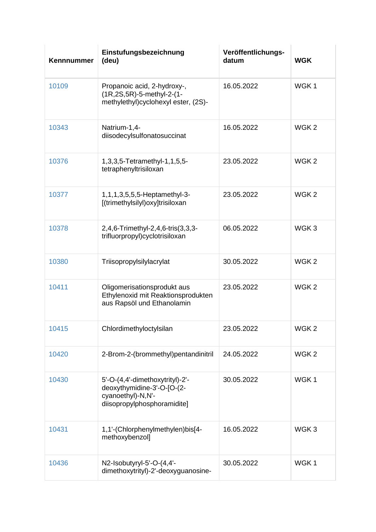| Kennnummer | Einstufungsbezeichnung<br>(deu)                                                                                   | Veröffentlichungs-<br>datum | <b>WGK</b>       |
|------------|-------------------------------------------------------------------------------------------------------------------|-----------------------------|------------------|
| 10109      | Propanoic acid, 2-hydroxy-,<br>(1R,2S,5R)-5-methyl-2-(1-<br>methylethyl)cyclohexyl ester, (2S)-                   | 16.05.2022                  | WGK <sub>1</sub> |
| 10343      | Natrium-1,4-<br>diisodecylsulfonatosuccinat                                                                       | 16.05.2022                  | WGK <sub>2</sub> |
| 10376      | 1, 3, 3, 5- Tetramethyl-1, 1, 5, 5-<br>tetraphenyltrisiloxan                                                      | 23.05.2022                  | WGK <sub>2</sub> |
| 10377      | 1, 1, 1, 3, 5, 5, 5-Heptamethyl-3-<br>[(trimethylsilyl)oxy]trisiloxan                                             | 23.05.2022                  | WGK <sub>2</sub> |
| 10378      | 2,4,6-Trimethyl-2,4,6-tris(3,3,3-<br>trifluorpropyl)cyclotrisiloxan                                               | 06.05.2022                  | WGK3             |
| 10380      | Triisopropylsilylacrylat                                                                                          | 30.05.2022                  | WGK <sub>2</sub> |
| 10411      | Oligomerisationsprodukt aus<br>Ethylenoxid mit Reaktionsprodukten<br>aus Rapsöl und Ethanolamin                   | 23.05.2022                  | WGK <sub>2</sub> |
| 10415      | Chlordimethyloctylsilan                                                                                           | 23.05.2022                  | WGK <sub>2</sub> |
| 10420      | 2-Brom-2-(brommethyl)pentandinitril                                                                               | 24.05.2022                  | WGK <sub>2</sub> |
| 10430      | 5'-O-(4,4'-dimethoxytrityl)-2'-<br>deoxythymidine-3'-O-[O-(2-<br>cyanoethyl)-N,N'-<br>diisopropylphosphoramidite] | 30.05.2022                  | WGK1             |
| 10431      | 1,1'-(Chlorphenylmethylen)bis[4-<br>methoxybenzol]                                                                | 16.05.2022                  | WGK3             |
| 10436      | N2-Isobutyryl-5'-O-(4,4'-<br>dimethoxytrityl)-2'-deoxyguanosine-                                                  | 30.05.2022                  | WGK1             |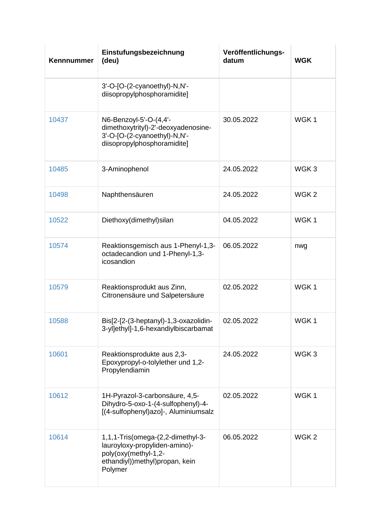| Kennnummer | Einstufungsbezeichnung<br>(deu)                                                                                                           | Veröffentlichungs-<br>datum | <b>WGK</b>       |
|------------|-------------------------------------------------------------------------------------------------------------------------------------------|-----------------------------|------------------|
|            | 3'-O-[O-(2-cyanoethyl)-N,N'-<br>diisopropylphosphoramidite]                                                                               |                             |                  |
| 10437      | N6-Benzoyl-5'-O-(4,4'-<br>dimethoxytrityl)-2'-deoxyadenosine-<br>3'-O-[O-(2-cyanoethyl)-N,N'-<br>diisopropylphosphoramidite]              | 30.05.2022                  | WGK1             |
| 10485      | 3-Aminophenol                                                                                                                             | 24.05.2022                  | WGK <sub>3</sub> |
| 10498      | Naphthensäuren                                                                                                                            | 24.05.2022                  | WGK <sub>2</sub> |
| 10522      | Diethoxy(dimethyl)silan                                                                                                                   | 04.05.2022                  | WGK1             |
| 10574      | Reaktionsgemisch aus 1-Phenyl-1,3-<br>octadecandion und 1-Phenyl-1,3-<br>icosandion                                                       | 06.05.2022                  | nwg              |
| 10579      | Reaktionsprodukt aus Zinn,<br>Citronensäure und Salpetersäure                                                                             | 02.05.2022                  | WGK1             |
| 10588      | Bis[2-[2-(3-heptanyl)-1,3-oxazolidin-<br>3-yl]ethyl]-1,6-hexandiylbiscarbamat                                                             | 02.05.2022                  | WGK1             |
| 10601      | Reaktionsprodukte aus 2,3-<br>Epoxypropyl-o-tolylether und 1,2-<br>Propylendiamin                                                         | 24.05.2022                  | WGK <sub>3</sub> |
| 10612      | 1H-Pyrazol-3-carbonsäure, 4,5-<br>Dihydro-5-oxo-1-(4-sulfophenyl)-4-<br>[(4-sulfophenyl)azo]-, Aluminiumsalz                              | 02.05.2022                  | WGK1             |
| 10614      | 1,1,1-Tris(omega-(2,2-dimethyl-3-<br>lauroyloxy-propyliden-amino)-<br>poly(oxy(methyl-1,2-<br>ethandiyl)) methyl) propan, kein<br>Polymer | 06.05.2022                  | WGK <sub>2</sub> |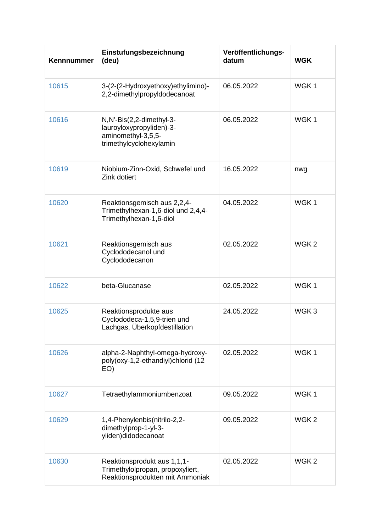| Kennnummer | Einstufungsbezeichnung<br>(deu)                                                                       | Veröffentlichungs-<br>datum | <b>WGK</b>       |
|------------|-------------------------------------------------------------------------------------------------------|-----------------------------|------------------|
| 10615      | 3-(2-(2-Hydroxyethoxy)ethylimino)-<br>2,2-dimethylpropyldodecanoat                                    | 06.05.2022                  | WGK <sub>1</sub> |
| 10616      | N,N'-Bis(2,2-dimethyl-3-<br>lauroyloxypropyliden)-3-<br>aminomethyl-3,5,5-<br>trimethylcyclohexylamin | 06.05.2022                  | WGK1             |
| 10619      | Niobium-Zinn-Oxid, Schwefel und<br>Zink dotiert                                                       | 16.05.2022                  | nwg              |
| 10620      | Reaktionsgemisch aus 2,2,4-<br>Trimethylhexan-1,6-diol und 2,4,4-<br>Trimethylhexan-1,6-diol          | 04.05.2022                  | WGK1             |
| 10621      | Reaktionsgemisch aus<br>Cyclododecanol und<br>Cyclododecanon                                          | 02.05.2022                  | WGK <sub>2</sub> |
| 10622      | beta-Glucanase                                                                                        | 02.05.2022                  | WGK1             |
| 10625      | Reaktionsprodukte aus<br>Cyclododeca-1,5,9-trien und<br>Lachgas, Überkopfdestillation                 | 24.05.2022                  | WGK <sub>3</sub> |
| 10626      | alpha-2-Naphthyl-omega-hydroxy-<br>poly(oxy-1,2-ethandiyl)chlorid (12<br>EO)                          | 02.05.2022                  | WGK <sub>1</sub> |
| 10627      | Tetraethylammoniumbenzoat                                                                             | 09.05.2022                  | WGK <sub>1</sub> |
| 10629      | 1,4-Phenylenbis(nitrilo-2,2-<br>dimethylprop-1-yl-3-<br>yliden)didodecanoat                           | 09.05.2022                  | WGK <sub>2</sub> |
| 10630      | Reaktionsprodukt aus 1,1,1-<br>Trimethylolpropan, propoxyliert,<br>Reaktionsprodukten mit Ammoniak    | 02.05.2022                  | WGK <sub>2</sub> |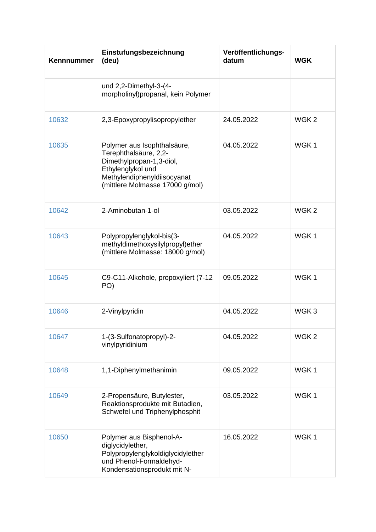| Kennnummer | Einstufungsbezeichnung<br>(deu)                                                                                                                                         | Veröffentlichungs-<br>datum | <b>WGK</b>       |
|------------|-------------------------------------------------------------------------------------------------------------------------------------------------------------------------|-----------------------------|------------------|
|            | und 2,2-Dimethyl-3-(4-<br>morpholinyl)propanal, kein Polymer                                                                                                            |                             |                  |
| 10632      | 2,3-Epoxypropylisopropylether                                                                                                                                           | 24.05.2022                  | WGK <sub>2</sub> |
| 10635      | Polymer aus Isophthalsäure,<br>Terephthalsäure, 2,2-<br>Dimethylpropan-1,3-diol,<br>Ethylenglykol und<br>Methylendiphenyldiisocyanat<br>(mittlere Molmasse 17000 g/mol) | 04.05.2022                  | WGK <sub>1</sub> |
| 10642      | 2-Aminobutan-1-ol                                                                                                                                                       | 03.05.2022                  | WGK <sub>2</sub> |
| 10643      | Polypropylenglykol-bis(3-<br>methyldimethoxysilylpropyl)ether<br>(mittlere Molmasse: 18000 g/mol)                                                                       | 04.05.2022                  | WGK1             |
| 10645      | C9-C11-Alkohole, propoxyliert (7-12<br>PO)                                                                                                                              | 09.05.2022                  | WGK <sub>1</sub> |
| 10646      | 2-Vinylpyridin                                                                                                                                                          | 04.05.2022                  | WGK <sub>3</sub> |
| 10647      | 1-(3-Sulfonatopropyl)-2-<br>vinylpyridinium                                                                                                                             | 04.05.2022                  | WGK <sub>2</sub> |
| 10648      | 1,1-Diphenylmethanimin                                                                                                                                                  | 09.05.2022                  | WGK1             |
| 10649      | 2-Propensäure, Butylester,<br>Reaktionsprodukte mit Butadien,<br>Schwefel und Triphenylphosphit                                                                         | 03.05.2022                  | WGK1             |
| 10650      | Polymer aus Bisphenol-A-<br>diglycidylether,<br>Polypropylenglykoldiglycidylether<br>und Phenol-Formaldehyd-<br>Kondensationsprodukt mit N-                             | 16.05.2022                  | WGK1             |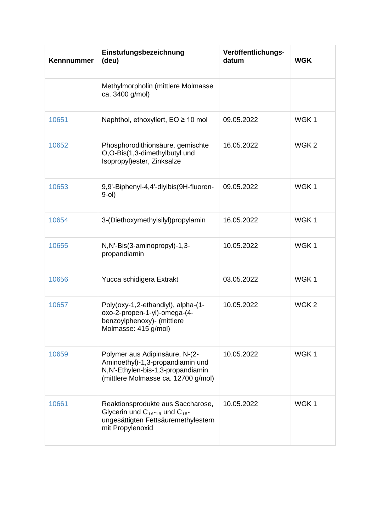| Kennnummer | Einstufungsbezeichnung<br>(deu)                                                                                                                | Veröffentlichungs-<br>datum | <b>WGK</b>       |
|------------|------------------------------------------------------------------------------------------------------------------------------------------------|-----------------------------|------------------|
|            | Methylmorpholin (mittlere Molmasse<br>ca. 3400 g/mol)                                                                                          |                             |                  |
| 10651      | Naphthol, ethoxyliert, $EO \ge 10$ mol                                                                                                         | 09.05.2022                  | WGK1             |
| 10652      | Phosphorodithionsäure, gemischte<br>O,O-Bis(1,3-dimethylbutyl und<br>Isopropyl) ester, Zinksalze                                               | 16.05.2022                  | WGK <sub>2</sub> |
| 10653      | 9,9'-Biphenyl-4,4'-diylbis(9H-fluoren-<br>$9-0$                                                                                                | 09.05.2022                  | WGK1             |
| 10654      | 3-(Diethoxymethylsilyl)propylamin                                                                                                              | 16.05.2022                  | WGK1             |
| 10655      | N,N'-Bis(3-aminopropyl)-1,3-<br>propandiamin                                                                                                   | 10.05.2022                  | WGK <sub>1</sub> |
| 10656      | Yucca schidigera Extrakt                                                                                                                       | 03.05.2022                  | WGK1             |
| 10657      | Poly(oxy-1,2-ethandiyl), alpha-(1-<br>oxo-2-propen-1-yl)-omega-(4-<br>benzoylphenoxy)- (mittlere<br>Molmasse: 415 g/mol)                       | 10.05.2022                  | WGK <sub>2</sub> |
| 10659      | Polymer aus Adipinsäure, N-(2-<br>Aminoethyl)-1,3-propandiamin und<br>N,N'-Ethylen-bis-1,3-propandiamin<br>(mittlere Molmasse ca. 12700 g/mol) | 10.05.2022                  | WGK1             |
| 10661      | Reaktionsprodukte aus Saccharose,<br>Glycerin und $C_{16-18}$ und $C_{18}$ -<br>ungesättigten Fettsäuremethylestern<br>mit Propylenoxid        | 10.05.2022                  | WGK1             |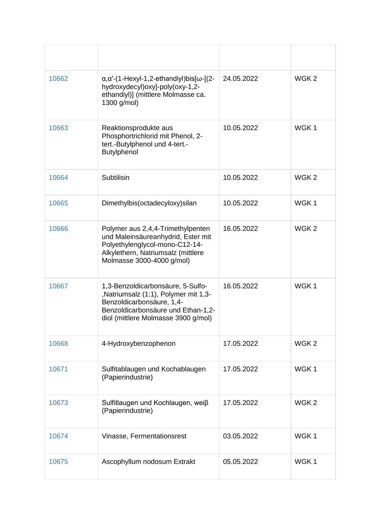| 10662 | $\alpha$ , $\alpha'$ -(1-Hexyl-1,2-ethandiyl)bis $\alpha$ - $(2-$<br>hydroxydecyl)oxy]-poly(oxy-1,2-<br>ethandiyl)] (mittlere Molmasse ca.<br>1300 g/mol)                           | 24.05.2022 | WGK <sub>2</sub> |
|-------|-------------------------------------------------------------------------------------------------------------------------------------------------------------------------------------|------------|------------------|
| 10663 | Reaktionsprodukte aus<br>Phosphortrichlorid mit Phenol, 2-<br>tert.-Butylphenol und 4-tert.-<br><b>Butylphenol</b>                                                                  | 10.05.2022 | WGK1             |
| 10664 | Subtilisin                                                                                                                                                                          | 10.05.2022 | WGK <sub>2</sub> |
| 10665 | Dimethylbis(octadecyloxy)silan                                                                                                                                                      | 10.05.2022 | WGK1             |
| 10666 | Polymer aus 2,4,4-Trimethylpenten<br>und Maleinsäureanhydrid, Ester mit<br>Polyethylenglycol-mono-C12-14-<br>Alkylethern, Natriumsalz (mittlere<br>Molmasse 3000-4000 g/mol)        | 16.05.2022 | WGK <sub>2</sub> |
| 10667 | 1,3-Benzoldicarbonsäure, 5-Sulfo-<br>,Natriumsalz (1:1), Polymer mit 1,3-<br>Benzoldicarbonsäure, 1,4-<br>Benzoldicarbonsäure und Ethan-1,2-<br>diol (mittlere Molmasse 3900 g/mol) | 16.05.2022 | WGK1             |
| 10668 | 4-Hydroxybenzophenon                                                                                                                                                                | 17.05.2022 | WGK <sub>2</sub> |
| 10671 | Sulfitablaugen und Kochablaugen<br>(Papierindustrie)                                                                                                                                | 17.05.2022 | WGK <sub>1</sub> |
| 10673 | Sulfitlaugen und Kochlaugen, weiβ<br>(Papierindustrie)                                                                                                                              | 17.05.2022 | WGK <sub>2</sub> |
| 10674 | Vinasse, Fermentationsrest                                                                                                                                                          | 03.05.2022 | WGK1             |
| 10675 | Ascophyllum nodosum Extrakt                                                                                                                                                         | 05.05.2022 | WGK1             |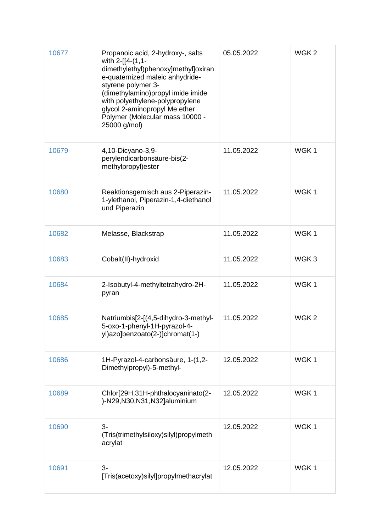| 10677 | Propanoic acid, 2-hydroxy-, salts<br>with 2-[[4-(1,1-<br>dimethylethyl)phenoxy]methyl]oxiran<br>e-quaternized maleic anhydride-<br>styrene polymer 3-<br>(dimethylamino)propyl imide imide<br>with polyethylene-polypropylene<br>glycol 2-aminopropyl Me ether<br>Polymer (Molecular mass 10000 -<br>25000 g/mol) | 05.05.2022 | WGK <sub>2</sub> |
|-------|-------------------------------------------------------------------------------------------------------------------------------------------------------------------------------------------------------------------------------------------------------------------------------------------------------------------|------------|------------------|
| 10679 | 4,10-Dicyano-3,9-<br>perylendicarbonsäure-bis(2-<br>methylpropyl)ester                                                                                                                                                                                                                                            | 11.05.2022 | WGK1             |
| 10680 | Reaktionsgemisch aus 2-Piperazin-<br>1-ylethanol, Piperazin-1,4-diethanol<br>und Piperazin                                                                                                                                                                                                                        | 11.05.2022 | WGK1             |
| 10682 | Melasse, Blackstrap                                                                                                                                                                                                                                                                                               | 11.05.2022 | WGK1             |
| 10683 | Cobalt(II)-hydroxid                                                                                                                                                                                                                                                                                               | 11.05.2022 | WGK3             |
| 10684 | 2-Isobutyl-4-methyltetrahydro-2H-<br>pyran                                                                                                                                                                                                                                                                        | 11.05.2022 | WGK1             |
| 10685 | Natriumbis[2-[(4,5-dihydro-3-methyl-<br>5-oxo-1-phenyl-1H-pyrazol-4-<br>yl)azo]benzoato(2-)]chromat(1-)                                                                                                                                                                                                           | 11.05.2022 | WGK <sub>2</sub> |
| 10686 | 1H-Pyrazol-4-carbonsäure, 1-(1,2-<br>Dimethylpropyl)-5-methyl-                                                                                                                                                                                                                                                    | 12.05.2022 | WGK1             |
| 10689 | Chlor[29H,31H-phthalocyaninato(2-<br>)-N29,N30,N31,N32]aluminium                                                                                                                                                                                                                                                  | 12.05.2022 | WGK1             |
| 10690 | $3-$<br>(Tris(trimethylsiloxy)silyl)propylmeth<br>acrylat                                                                                                                                                                                                                                                         | 12.05.2022 | WGK1             |
| 10691 | $3-$<br>[Tris(acetoxy)silyl]propylmethacrylat                                                                                                                                                                                                                                                                     | 12.05.2022 | WGK1             |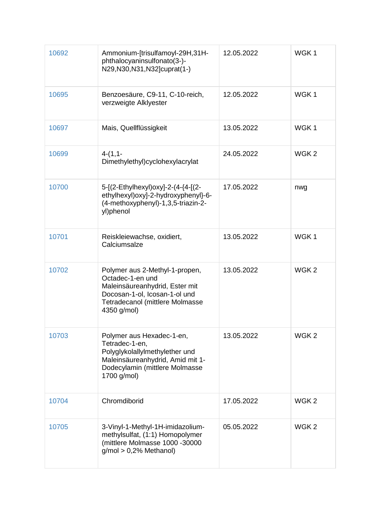| 10692 | Ammonium-[trisulfamoyl-29H,31H-<br>phthalocyaninsulfonato(3-)-<br>N29, N30, N31, N32] cuprat(1-)                                                                        | 12.05.2022 | WGK1             |
|-------|-------------------------------------------------------------------------------------------------------------------------------------------------------------------------|------------|------------------|
| 10695 | Benzoesäure, C9-11, C-10-reich,<br>verzweigte Alklyester                                                                                                                | 12.05.2022 | WGK1             |
| 10697 | Mais, Quellflüssigkeit                                                                                                                                                  | 13.05.2022 | WGK1             |
| 10699 | $4-(1,1-$<br>Dimethylethyl)cyclohexylacrylat                                                                                                                            | 24.05.2022 | WGK <sub>2</sub> |
| 10700 | 5-[(2-Ethylhexyl)oxy]-2-(4-{4-[(2-<br>ethylhexyl) oxy]-2-hydroxyphenyl}-6-<br>(4-methoxyphenyl)-1,3,5-triazin-2-<br>yl)phenol                                           | 17.05.2022 | nwg              |
| 10701 | Reiskleiewachse, oxidiert,<br>Calciumsalze                                                                                                                              | 13.05.2022 | WGK1             |
| 10702 | Polymer aus 2-Methyl-1-propen,<br>Octadec-1-en und<br>Maleinsäureanhydrid, Ester mit<br>Docosan-1-ol, Icosan-1-ol und<br>Tetradecanol (mittlere Molmasse<br>4350 g/mol) | 13.05.2022 | WGK <sub>2</sub> |
| 10703 | Polymer aus Hexadec-1-en,<br>Tetradec-1-en,<br>Polyglykolallylmethylether und<br>Maleinsäureanhydrid, Amid mit 1-<br>Dodecylamin (mittlere Molmasse<br>1700 g/mol)      | 13.05.2022 | WGK <sub>2</sub> |
| 10704 | Chromdiborid                                                                                                                                                            | 17.05.2022 | WGK <sub>2</sub> |
| 10705 | 3-Vinyl-1-Methyl-1H-imidazolium-<br>methylsulfat, (1:1) Homopolymer<br>(mittlere Molmasse 1000 -30000<br>$g/mol > 0,2%$ Methanol)                                       | 05.05.2022 | WGK <sub>2</sub> |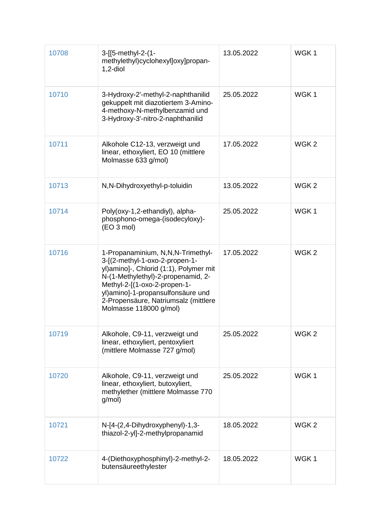| 10708 | 3-[[5-methyl-2-(1-<br>methylethyl)cyclohexyl]oxy]propan-<br>$1,2$ -diol                                                                                                                                                                                                                    | 13.05.2022 | WGK1             |
|-------|--------------------------------------------------------------------------------------------------------------------------------------------------------------------------------------------------------------------------------------------------------------------------------------------|------------|------------------|
| 10710 | 3-Hydroxy-2'-methyl-2-naphthanilid<br>gekuppelt mit diazotiertem 3-Amino-<br>4-methoxy-N-methylbenzamid und<br>3-Hydroxy-3'-nitro-2-naphthanilid                                                                                                                                           | 25.05.2022 | WGK1             |
| 10711 | Alkohole C12-13, verzweigt und<br>linear, ethoxyliert, EO 10 (mittlere<br>Molmasse 633 g/mol)                                                                                                                                                                                              | 17.05.2022 | WGK <sub>2</sub> |
| 10713 | N, N-Dihydroxyethyl-p-toluidin                                                                                                                                                                                                                                                             | 13.05.2022 | WGK <sub>2</sub> |
| 10714 | Poly(oxy-1,2-ethandiyl), alpha-<br>phosphono-omega-(isodecyloxy)-<br>(EO 3 mol)                                                                                                                                                                                                            | 25.05.2022 | WGK1             |
| 10716 | 1-Propanaminium, N,N,N-Trimethyl-<br>3-[(2-methyl-1-oxo-2-propen-1-<br>yl)amino]-, Chlorid (1:1), Polymer mit<br>N-(1-Methylethyl)-2-propenamid, 2-<br>Methyl-2-[(1-oxo-2-propen-1-<br>yl)amino]-1-propansulfonsäure und<br>2-Propensäure, Natriumsalz (mittlere<br>Molmasse 118000 g/mol) | 17.05.2022 | WGK <sub>2</sub> |
| 10719 | Alkohole, C9-11, verzweigt und<br>linear, ethoxyliert, pentoxyliert<br>(mittlere Molmasse 727 g/mol)                                                                                                                                                                                       | 25.05.2022 | WGK <sub>2</sub> |
| 10720 | Alkohole, C9-11, verzweigt und<br>linear, ethoxyliert, butoxyliert,<br>methylether (mittlere Molmasse 770<br>g/mol)                                                                                                                                                                        | 25.05.2022 | WGK1             |
| 10721 | N-[4-(2,4-Dihydroxyphenyl)-1,3-<br>thiazol-2-yl]-2-methylpropanamid                                                                                                                                                                                                                        | 18.05.2022 | WGK <sub>2</sub> |
| 10722 | 4-(Diethoxyphosphinyl)-2-methyl-2-<br>butensäureethylester                                                                                                                                                                                                                                 | 18.05.2022 | WGK1             |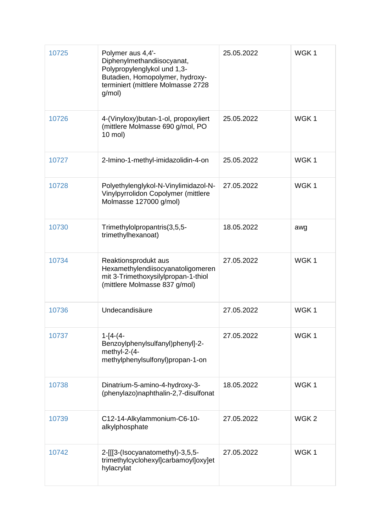| 10725 | Polymer aus 4,4'-<br>Diphenylmethandiisocyanat,<br>Polypropylenglykol und 1,3-<br>Butadien, Homopolymer, hydroxy-<br>terminiert (mittlere Molmasse 2728<br>g/mol) | 25.05.2022 | WGK1             |
|-------|-------------------------------------------------------------------------------------------------------------------------------------------------------------------|------------|------------------|
| 10726 | 4-(Vinyloxy) butan-1-ol, propoxyliert<br>(mittlere Molmasse 690 g/mol, PO<br>10 mol)                                                                              | 25.05.2022 | WGK <sub>1</sub> |
| 10727 | 2-Imino-1-methyl-imidazolidin-4-on                                                                                                                                | 25.05.2022 | WGK1             |
| 10728 | Polyethylenglykol-N-Vinylimidazol-N-<br>Vinylpyrrolidon Copolymer (mittlere<br>Molmasse 127000 g/mol)                                                             | 27.05.2022 | WGK1             |
| 10730 | Trimethylolpropantris(3,5,5-<br>trimethylhexanoat)                                                                                                                | 18.05.2022 | awg              |
| 10734 | Reaktionsprodukt aus<br>Hexamethylendiisocyanatoligomeren<br>mit 3-Trimethoxysilylpropan-1-thiol<br>(mittlere Molmasse 837 g/mol)                                 | 27.05.2022 | WGK1             |
| 10736 | Undecandisäure                                                                                                                                                    | 27.05.2022 | WGK1             |
| 10737 | $1 - 14 - (4 -$<br>Benzoylphenylsulfanyl)phenyl]-2-<br>methyl-2-(4-<br>methylphenylsulfonyl)propan-1-on                                                           | 27.05.2022 | WGK1             |
| 10738 | Dinatrium-5-amino-4-hydroxy-3-<br>(phenylazo)naphthalin-2,7-disulfonat                                                                                            | 18.05.2022 | WGK1             |
| 10739 | C12-14-Alkylammonium-C6-10-<br>alkylphosphate                                                                                                                     | 27.05.2022 | WGK <sub>2</sub> |
| 10742 | 2-[[[3-(Isocyanatomethyl)-3,5,5-<br>trimethylcyclohexyl]carbamoyl]oxy]et<br>hylacrylat                                                                            | 27.05.2022 | WGK1             |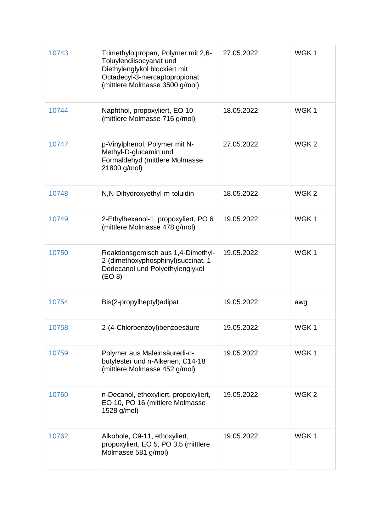| 10743 | Trimethylolpropan, Polymer mit 2,6-<br>Toluylendiisocyanat und<br>Diethylenglykol blockiert mit<br>Octadecyl-3-mercaptopropionat<br>(mittlere Molmasse 3500 g/mol) | 27.05.2022 | WGK1             |
|-------|--------------------------------------------------------------------------------------------------------------------------------------------------------------------|------------|------------------|
| 10744 | Naphthol, propoxyliert, EO 10<br>(mittlere Molmasse 716 g/mol)                                                                                                     | 18.05.2022 | WGK1             |
| 10747 | p-Vinylphenol, Polymer mit N-<br>Methyl-D-glucamin und<br>Formaldehyd (mittlere Molmasse<br>21800 g/mol)                                                           | 27.05.2022 | WGK <sub>2</sub> |
| 10748 | N, N-Dihydroxyethyl-m-toluidin                                                                                                                                     | 18.05.2022 | WGK <sub>2</sub> |
| 10749 | 2-Ethylhexanol-1, propoxyliert, PO 6<br>(mittlere Molmasse 478 g/mol)                                                                                              | 19.05.2022 | WGK1             |
| 10750 | Reaktionsgemisch aus 1,4-Dimethyl-<br>2-(dimethoxyphosphinyl) succinat, 1-<br>Dodecanol und Polyethylenglykol<br>(EO 8)                                            | 19.05.2022 | WGK1             |
| 10754 | Bis(2-propylheptyl)adipat                                                                                                                                          | 19.05.2022 | awg              |
| 10758 | 2-(4-Chlorbenzoyl)benzoesäure                                                                                                                                      | 19.05.2022 | WGK1             |
| 10759 | Polymer aus Maleinsäuredi-n-<br>butylester und n-Alkenen, C14-18<br>(mittlere Molmasse 452 g/mol)                                                                  | 19.05.2022 | WGK1             |
| 10760 | n-Decanol, ethoxyliert, propoxyliert,<br>EO 10, PO 16 (mittlere Molmasse<br>1528 g/mol)                                                                            | 19.05.2022 | WGK <sub>2</sub> |
| 10762 | Alkohole, C9-11, ethoxyliert,<br>propoxyliert, EO 5, PO 3,5 (mittlere<br>Molmasse 581 g/mol)                                                                       | 19.05.2022 | WGK1             |